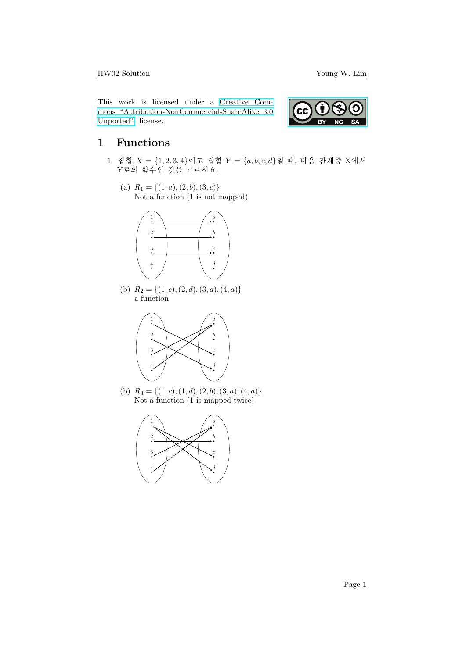This work is licensed under a [Creative Com](https://creativecommons.org/licenses/by-nc-sa/3.0/deed.en)[mons "Attribution-NonCommercial-ShareAlike 3.0](https://creativecommons.org/licenses/by-nc-sa/3.0/deed.en) [Unported"](https://creativecommons.org/licenses/by-nc-sa/3.0/deed.en) license.



## 1 Functions

- 1. 집합  $X = \{1, 2, 3, 4\}$ 이고 집합  $Y = \{a, b, c, d\}$ 일 때, 다음 관계중 X에서 Y로의 함수인 것을 고르시요.
	- (a)  $R_1 = \{(1, a), (2, b), (3, c)\}\$ Not a function (1 is not mapped)



(b)  $R_2 = \{(1, c), (2, d), (3, a), (4, a)\}\$ a function



(b)  $R_3 = \{(1, c), (1, d), (2, b), (3, a), (4, a)\}\$ Not a function (1 is mapped twice)

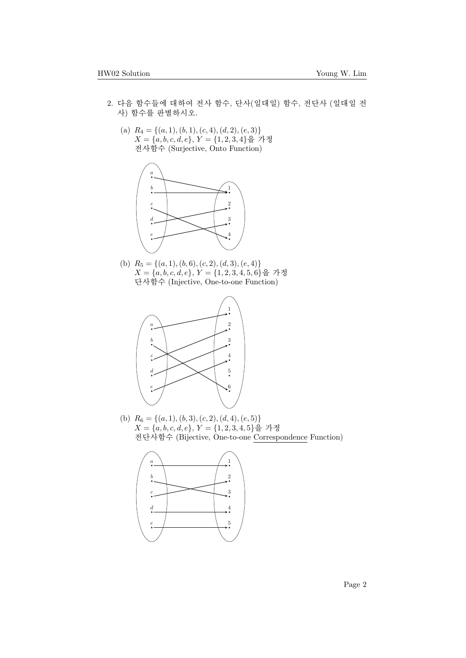- 2. 다음 함수들에 대하여 전사 함수, 단사(일대일) 함수, 전단사 (일대일 전 사) 함수를 판별하시오.
	- (a)  $R_4 = \{(a, 1), (b, 1), (c, 4), (d, 2), (e, 3)\}\$  $X = \{a, b, c, d, e\}, Y = \{1, 2, 3, 4\}$ 을 가정 전사함수 (Surjective, Onto Function)



(b)  $R_5 = \{(a, 1), (b, 6), (c, 2), (d, 3), (e, 4)\}\$  $X = \{a, b, c, d, e\}, Y = \{1, 2, 3, 4, 5, 6\}$ 을 가정 단사함수 (Injective, One-to-one Function)



(b)  $R_6 = \{(a, 1), (b, 3), (c, 2), (d, 4), (e, 5)\}\$  $X = \{a, b, c, d, e\}, Y = \{1, 2, 3, 4, 5\}$ 을 가정 전단사함수 (Bijective, One-to-one Correspondence Function)

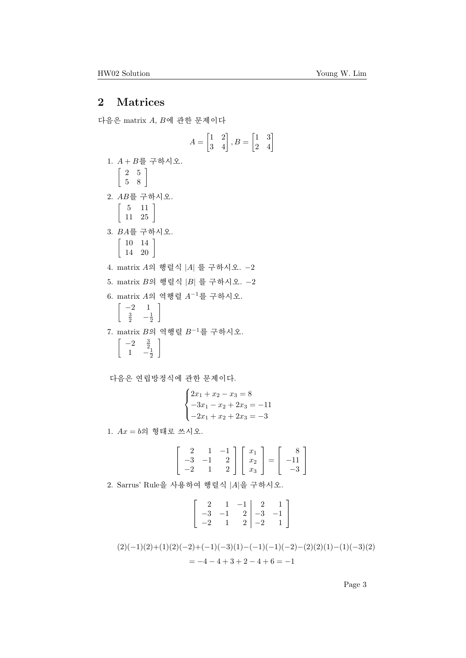## 2 Matrices

다음은 matrix  $A, B$ 에 관한 문제이다

$$
A = \begin{bmatrix} 1 & 2 \\ 3 & 4 \end{bmatrix}, B = \begin{bmatrix} 1 & 3 \\ 2 & 4 \end{bmatrix}
$$
  
\n1.  $A + B \equiv \mp \delta \gamma \lambda \ge$ .  
\n
$$
\begin{bmatrix} 2 & 5 \\ 5 & 8 \end{bmatrix}
$$
  
\n2.  $AB \equiv \mp \delta \gamma \lambda \ge$ .  
\n
$$
\begin{bmatrix} 5 & 11 \\ 11 & 25 \end{bmatrix}
$$
  
\n3.  $BA \equiv \mp \delta \gamma \lambda \ge$ .  
\n
$$
\begin{bmatrix} 10 & 14 \\ 14 & 20 \end{bmatrix}
$$
  
\n4. matrix A9  $\theta \ge \frac{3}{2} \Delta |B| \equiv \mp \delta \gamma \Delta \ge$ . -2  
\n5. matrix B9  $\theta \ge \frac{3}{2} \Delta |B| \equiv \mp \delta \gamma \Delta \ge$ .  
\n
$$
\begin{bmatrix} -2 & 1 \\ \frac{3}{2} & -\frac{1}{2} \end{bmatrix}
$$
  
\n7. matrix B9  $\theta \ge \frac{3}{2} \theta \ge -1 \equiv \mp \delta \gamma \Delta \ge$ .  
\n
$$
\begin{bmatrix} -2 & \frac{3}{2} \\ 1 & -\frac{1}{2} \end{bmatrix}
$$

다음은 연립방정식에 관한 문제이다.

$$
\begin{cases} 2x_1 + x_2 - x_3 = 8 \\ -3x_1 - x_2 + 2x_3 = -11 \\ -2x_1 + x_2 + 2x_3 = -3 \end{cases}
$$

1.  $Ax = b$ 의 형태로 쓰시오.

$$
\begin{bmatrix} 2 & 1 & -1 \\ -3 & -1 & 2 \\ -2 & 1 & 2 \end{bmatrix} \begin{bmatrix} x_1 \\ x_2 \\ x_3 \end{bmatrix} = \begin{bmatrix} 8 \\ -11 \\ -3 \end{bmatrix}
$$

2. Sarrus' Rule을 사용하여 행렬식  $|A|$ 을 구하시오.

$$
\left[\begin{array}{rrr} 2 & 1 & -1 & 2 & 1 \\ -3 & -1 & 2 & -3 & -1 \\ -2 & 1 & 2 & -2 & 1 \end{array}\right]
$$

$$
(2)(-1)(2)+(1)(2)(-2)+(-1)(-3)(1)-(-1)(-1)(-2)-(2)(2)(1)-(1)(-3)(2)
$$
  
= -4 - 4 + 3 + 2 - 4 + 6 = -1

Page 3